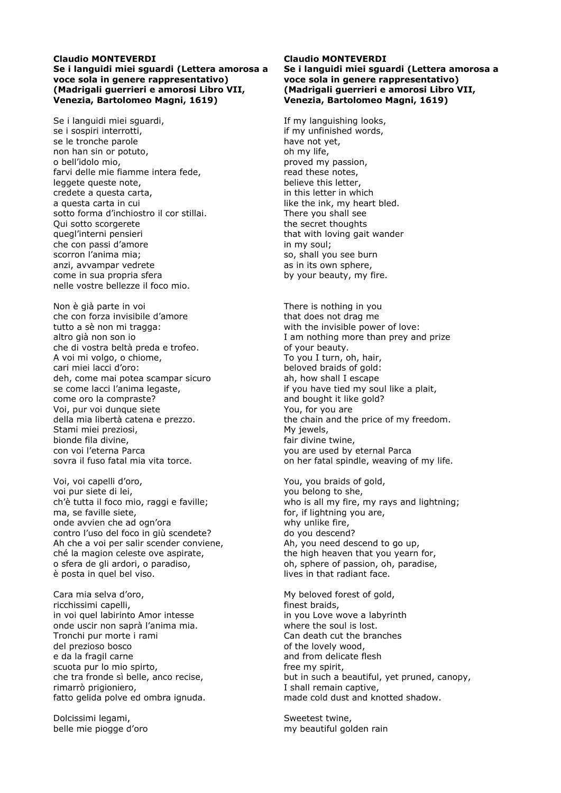## **Claudio MONTEVERDI Se i languidi miei sguardi (Lettera amorosa a voce sola in genere rappresentativo) (Madrigali guerrieri e amorosi Libro VII, Venezia, Bartolomeo Magni, 1619)**

Se i languidi miei sguardi, se i sospiri interrotti, se le tronche parole non han sin or potuto, o bell'idolo mio, farvi delle mie fiamme intera fede, leggete queste note, credete a questa carta, a questa carta in cui sotto forma d'inchiostro il cor stillai. Qui sotto scorgerete quegl'interni pensieri che con passi d'amore scorron l'anima mia; anzi, avvampar vedrete come in sua propria sfera nelle vostre bellezze il foco mio.

Non è già parte in voi che con forza invisibile d'amore tutto a sè non mi tragga: altro già non son io che di vostra beltà preda e trofeo. A voi mi volgo, o chiome, cari miei lacci d'oro: deh, come mai potea scampar sicuro se come lacci l'anima legaste, come oro la compraste? Voi, pur voi dunque siete della mia libertà catena e prezzo. Stami miei preziosi, bionde fila divine, con voi l'eterna Parca sovra il fuso fatal mia vita torce.

Voi, voi capelli d'oro, voi pur siete di lei, ch'è tutta il foco mio, raggi e faville; ma, se faville siete, onde avvien che ad ogn'ora contro l'uso del foco in giù scendete? Ah che a voi per salir scender conviene, ché la magion celeste ove aspirate, o sfera de gli ardori, o paradiso, è posta in quel bel viso.

Cara mia selva d'oro, ricchissimi capelli, in voi quel labirinto Amor intesse onde uscir non saprà l'anima mia. Tronchi pur morte i rami del prezioso bosco e da la fragil carne scuota pur lo mio spirto, che tra fronde sì belle, anco recise, rimarrò prigioniero, fatto gelida polve ed ombra ignuda.

Dolcissimi legami, belle mie piogge d'oro

# **Claudio MONTEVERDI Se i languidi miei sguardi (Lettera amorosa a voce sola in genere rappresentativo) (Madrigali guerrieri e amorosi Libro VII, Venezia, Bartolomeo Magni, 1619)**

If my languishing looks, if my unfinished words, have not yet, oh my life, proved my passion, read these notes, believe this letter, in this letter in which like the ink, my heart bled. There you shall see the secret thoughts that with loving gait wander in my soul; so, shall you see burn as in its own sphere, by your beauty, my fire.

There is nothing in you that does not drag me with the invisible power of love: I am nothing more than prey and prize of your beauty. To you I turn, oh, hair, beloved braids of gold: ah, how shall I escape if you have tied my soul like a plait, and bought it like gold? You, for you are the chain and the price of my freedom. My jewels, fair divine twine, you are used by eternal Parca on her fatal spindle, weaving of my life.

You, you braids of gold, you belong to she, who is all my fire, my rays and lightning; for, if lightning you are, why unlike fire, do you descend? Ah, you need descend to go up, the high heaven that you yearn for, oh, sphere of passion, oh, paradise, lives in that radiant face.

My beloved forest of gold, finest braids, in you Love wove a labyrinth where the soul is lost. Can death cut the branches of the lovely wood, and from delicate flesh free my spirit, but in such a beautiful, yet pruned, canopy, I shall remain captive, made cold dust and knotted shadow.

Sweetest twine, my beautiful golden rain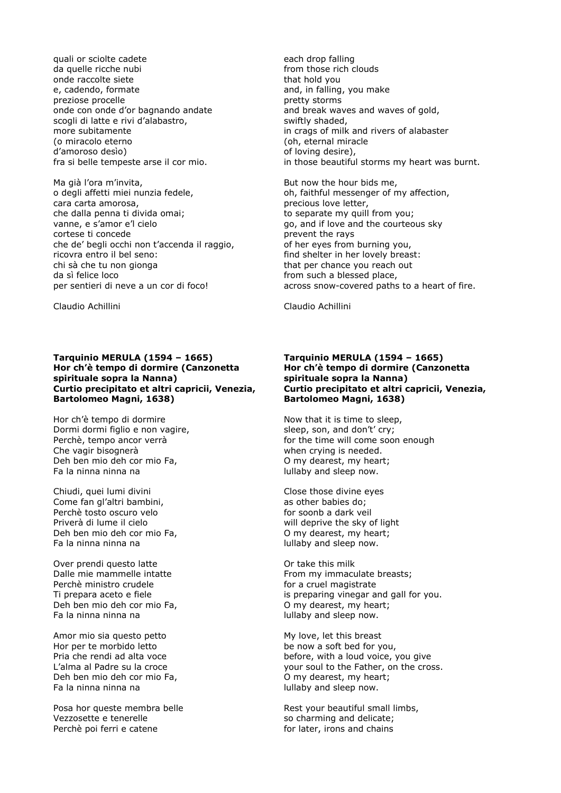quali or sciolte cadete da quelle ricche nubi onde raccolte siete e, cadendo, formate preziose procelle onde con onde d'or bagnando andate scogli di latte e rivi d'alabastro, more subitamente (o miracolo eterno d'amoroso desìo) fra si belle tempeste arse il cor mio.

Ma già l'ora m'invita, o degli affetti miei nunzia fedele, cara carta amorosa, che dalla penna ti divida omai; vanne, e s'amor e'l cielo cortese ti concede che de' begli occhi non t'accenda il raggio, ricovra entro il bel seno: chi sà che tu non gionga da sì felice loco per sentieri di neve a un cor di foco!

Claudio Achillini

### **Tarquinio MERULA (1594 – 1665) Hor ch'è tempo di dormire (Canzonetta spirituale sopra la Nanna) Curtio precipitato et altri capricii, Venezia, Bartolomeo Magni, 1638)**

Hor ch'è tempo di dormire Dormi dormi figlio e non vagire, Perchè, tempo ancor verrà Che vagir bisognerà Deh ben mio deh cor mio Fa, Fa la ninna ninna na

Chiudi, quei lumi divini Come fan gl'altri bambini, Perchè tosto oscuro velo Priverà di lume il cielo Deh ben mio deh cor mio Fa, Fa la ninna ninna na

Over prendi questo latte Dalle mie mammelle intatte Perchè ministro crudele Ti prepara aceto e fiele Deh ben mio deh cor mio Fa, Fa la ninna ninna na

Amor mio sia questo petto Hor per te morbido letto Pria che rendi ad alta voce L'alma al Padre su la croce Deh ben mio deh cor mio Fa, Fa la ninna ninna na

Posa hor queste membra belle Vezzosette e tenerelle Perchè poi ferri e catene

each drop falling from those rich clouds that hold you and, in falling, you make pretty storms and break waves and waves of gold, swiftly shaded, in crags of milk and rivers of alabaster (oh, eternal miracle of loving desire), in those beautiful storms my heart was burnt.

But now the hour bids me, oh, faithful messenger of my affection, precious love letter, to separate my quill from you; go, and if love and the courteous sky prevent the rays of her eyes from burning you, find shelter in her lovely breast: that per chance you reach out from such a blessed place, across snow-covered paths to a heart of fire.

Claudio Achillini

### **Tarquinio MERULA (1594 – 1665) Hor ch'è tempo di dormire (Canzonetta spirituale sopra la Nanna) Curtio precipitato et altri capricii, Venezia, Bartolomeo Magni, 1638)**

Now that it is time to sleep, sleep, son, and don't' cry; for the time will come soon enough when crying is needed. O my dearest, my heart; lullaby and sleep now.

Close those divine eyes as other babies do; for soonb a dark veil will deprive the sky of light O my dearest, my heart; lullaby and sleep now.

Or take this milk From my immaculate breasts; for a cruel magistrate is preparing vinegar and gall for you. O my dearest, my heart; lullaby and sleep now.

My love, let this breast be now a soft bed for you, before, with a loud voice, you give your soul to the Father, on the cross. O my dearest, my heart; lullaby and sleep now.

Rest your beautiful small limbs, so charming and delicate; for later, irons and chains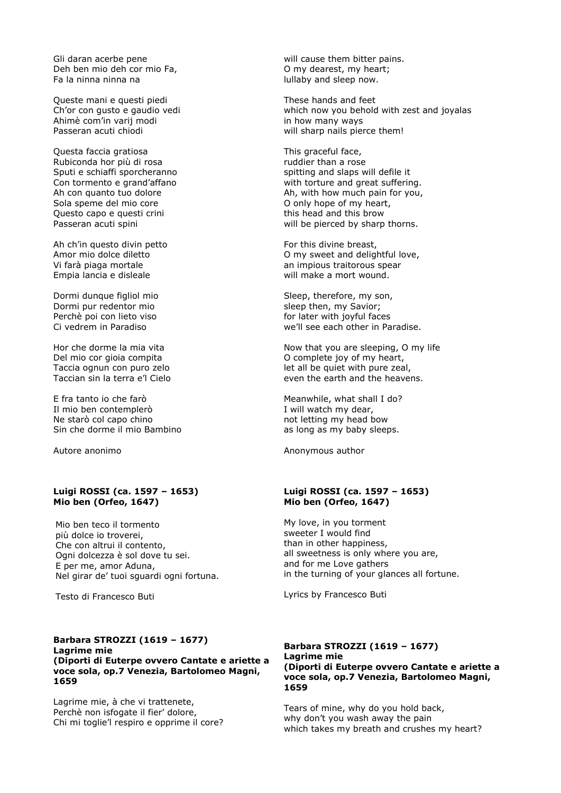Gli daran acerbe pene Deh ben mio deh cor mio Fa, Fa la ninna ninna na

Queste mani e questi piedi Ch'or con gusto e gaudio vedi Ahimè com'in varij modi Passeran acuti chiodi

Questa faccia gratiosa Rubiconda hor più di rosa Sputi e schiaffi sporcheranno Con tormento e grand'affano Ah con quanto tuo dolore Sola speme del mio core Questo capo e questi crini Passeran acuti spini

Ah ch'in questo divin petto Amor mio dolce diletto Vi farà piaga mortale Empia lancia e disleale

Dormi dunque figliol mio Dormi pur redentor mio Perchè poi con lieto viso Ci vedrem in Paradiso

Hor che dorme la mia vita Del mio cor gioia compita Taccia ognun con puro zelo Taccian sin la terra e'l Cielo

E fra tanto io che farò Il mio ben contemplerò Ne starò col capo chino Sin che dorme il mio Bambino

Autore anonimo

## **Luigi ROSSI (ca. 1597 – 1653) Mio ben (Orfeo, 1647)**

Mio ben teco il tormento più dolce io troverei, Che con altrui il contento, Ogni dolcezza è sol dove tu sei. E per me, amor Aduna, Nel girar de' tuoi sguardi ogni fortuna.

Testo di Francesco Buti

### **Barbara STROZZI (1619 – 1677) Lagrime mie (Diporti di Euterpe ovvero Cantate e ariette a voce sola, op.7 Venezia, Bartolomeo Magni, 1659**

Lagrime mie, à che vi trattenete, Perchè non isfogate il fier' dolore, Chi mi toglie'l respiro e opprime il core? will cause them bitter pains. O my dearest, my heart; lullaby and sleep now.

These hands and feet which now you behold with zest and joyalas in how many ways will sharp nails pierce them!

This graceful face, ruddier than a rose spitting and slaps will defile it with torture and great suffering. Ah, with how much pain for you, O only hope of my heart, this head and this brow will be pierced by sharp thorns.

For this divine breast, O my sweet and delightful love, an impious traitorous spear will make a mort wound.

Sleep, therefore, my son, sleep then, my Savior; for later with joyful faces we'll see each other in Paradise.

Now that you are sleeping, O my life O complete joy of my heart, let all be quiet with pure zeal, even the earth and the heavens.

Meanwhile, what shall I do? I will watch my dear, not letting my head bow as long as my baby sleeps.

Anonymous author

# **Luigi ROSSI (ca. 1597 – 1653) Mio ben (Orfeo, 1647)**

My love, in you torment sweeter I would find than in other happiness, all sweetness is only where you are, and for me Love gathers in the turning of your glances all fortune.

Lyrics by Francesco Buti

#### **Barbara STROZZI (1619 – 1677) Lagrime mie (Diporti di Euterpe ovvero Cantate e ariette a voce sola, op.7 Venezia, Bartolomeo Magni, 1659**

Tears of mine, why do you hold back, why don't you wash away the pain which takes my breath and crushes my heart?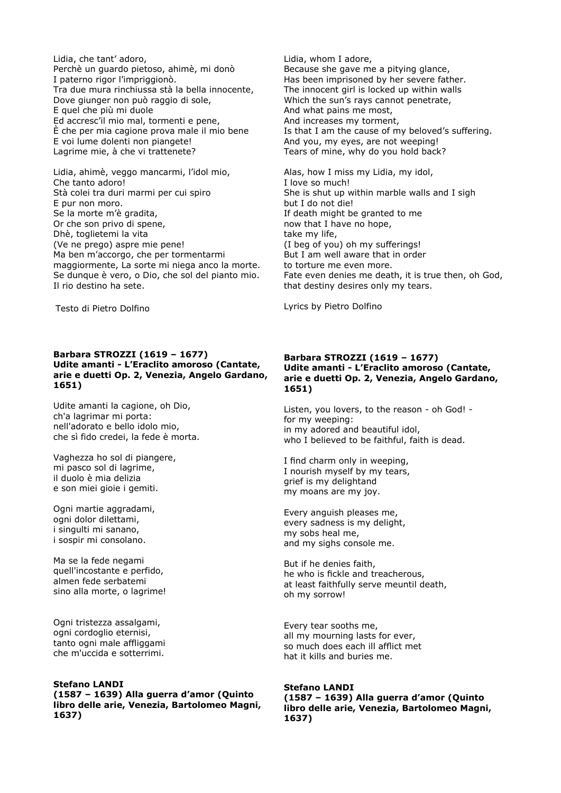Lidia, che tant' adoro, Perchè un guardo pietoso, ahimè, mi donò I paterno rigor l'impriggionò. Tra due mura rinchiussa stà la bella innocente, Dove giunger non può raggio di sole, E quel che più mi duole Ed accresc'il mio mal, tormenti e pene, È che per mia cagione prova male il mio bene E voi lume dolenti non piangete! Lagrime mie, à che vi trattenete?

Lidia, ahimè, veggo mancarmi, l'idol mio, Che tanto adoro! Stà colei tra duri marmi per cui spiro E pur non moro. Se la morte m'è gradita, Or che son privo di spene, Dhè, toglietemi la vita (Ve ne prego) aspre mie pene! Ma ben m'accorgo, che per tormentarmi maggiormente, La sorte mi niega anco la morte. Se dunque è vero, o Dio, che sol del pianto mio. Il rio destino ha sete.

Testo di Pietro Dolfino

**Barbara STROZZI (1619 – 1677) Udite amanti - L'Eraclito amoroso (Cantate, arie e duetti Op. 2, Venezia, Angelo Gardano, 1651)** 

Udite amanti la cagione, oh Dio, ch'a lagrimar mi porta: nell'adorato e bello idolo mio, che sì fido credei, la fede è morta.

Vaghezza ho sol di piangere, mi pasco sol di lagrime, il duolo è mia delizia e son miei gioie i gemiti.

Ogni martie aggradami, ogni dolor dilettami, i singulti mi sanano, i sospir mi consolano.

Ma se la fede negami quell'incostante e perfido, almen fede serbatemi sino alla morte, o lagrime!

Ogni tristezza assalgami, ogni cordoglio eternisi, tanto ogni male affliggami che m'uccida e sotterrimi.

#### **Stefano LANDI (1587 – 1639) Alla guerra d'amor (Quinto libro delle arie, Venezia, Bartolomeo Magni, 1637)**

Lidia, whom I adore, Because she gave me a pitying glance, Has been imprisoned by her severe father. The innocent girl is locked up within walls Which the sun's rays cannot penetrate, And what pains me most, And increases my torment, Is that I am the cause of my beloved's suffering. And you, my eyes, are not weeping! Tears of mine, why do you hold back?

Alas, how I miss my Lidia, my idol, I love so much! She is shut up within marble walls and I sigh but I do not die! If death might be granted to me now that I have no hope, take my life, (I beg of you) oh my sufferings! But I am well aware that in order to torture me even more. Fate even denies me death, it is true then, oh God, that destiny desires only my tears.

Lyrics by Pietro Dolfino

# **Barbara STROZZI (1619 – 1677) Udite amanti - L'Eraclito amoroso (Cantate, arie e duetti Op. 2, Venezia, Angelo Gardano, 1651)**

Listen, you lovers, to the reason - oh God! for my weeping: in my adored and beautiful idol, who I believed to be faithful, faith is dead.

I find charm only in weeping, I nourish myself by my tears, grief is my delightand my moans are my joy.

Every anguish pleases me, every sadness is my delight, my sobs heal me, and my sighs console me.

But if he denies faith, he who is fickle and treacherous, at least faithfully serve meuntil death, oh my sorrow!

Every tear sooths me, all my mourning lasts for ever, so much does each ill afflict met hat it kills and buries me.

# **Stefano LANDI**

**(1587 – 1639) Alla guerra d'amor (Quinto libro delle arie, Venezia, Bartolomeo Magni, 1637)**